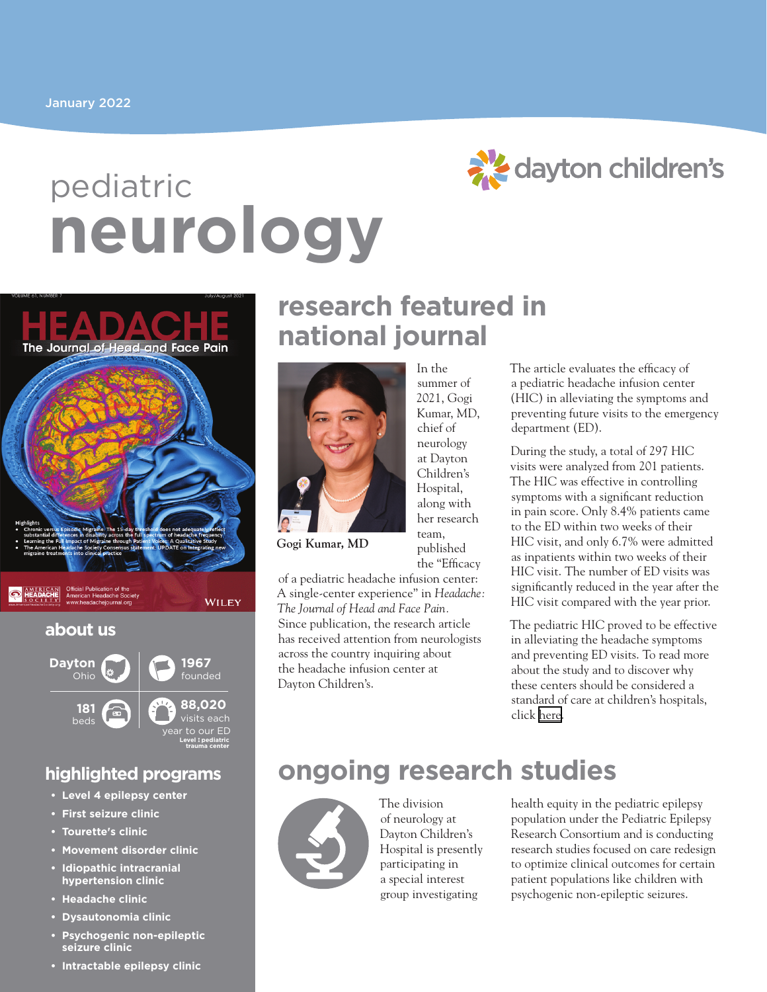# **neurology** pediatric



The Journal of Head-and Face Pain



**O HEADACHE** 

WILEY

#### **about us**



#### **highlighted programs**

- **• Level 4 epilepsy center**
- **• First seizure clinic**
- **• Tourette's clinic**
- **• Movement disorder clinic**
- **• Idiopathic intracranial hypertension clinic**
- **• Headache clinic**
- **• Dysautonomia clinic**
- **• Psychogenic non-epileptic seizure clinic**
- **• Intractable epilepsy clinic**

## **research featured in national journal**

In the summer of



2021, Gogi Kumar, MD, chief of neurology at Dayton Children's Hospital, along with her research team, published the "Efficacy

**Gogi Kumar, MD**

of a pediatric headache infusion center: A single-center experience" in *Headache: The Journal of Head and Face Pain.* Since publication, the research article has received attention from neurologists across the country inquiring about the headache infusion center at Dayton Children's.

The article evaluates the efficacy of a pediatric headache infusion center (HIC) in alleviating the symptoms and preventing future visits to the emergency department (ED).

During the study, a total of 297 HIC visits were analyzed from 201 patients. The HIC was effective in controlling symptoms with a significant reduction in pain score. Only 8.4% patients came to the ED within two weeks of their HIC visit, and only 6.7% were admitted as inpatients within two weeks of their HIC visit. The number of ED visits was significantly reduced in the year after the HIC visit compared with the year prior.

The pediatric HIC proved to be effective in alleviating the headache symptoms and preventing ED visits. To read more about the study and to discover why these centers should be considered a standard of care at children's hospitals, click [here](https://headachejournal.onlinelibrary.wiley.com/doi/10.1111/head.14173).

# **ongoing research studies**



The division of neurology at Dayton Children's Hospital is presently participating in a special interest group investigating

health equity in the pediatric epilepsy population under the Pediatric Epilepsy Research Consortium and is conducting research studies focused on care redesign to optimize clinical outcomes for certain patient populations like children with psychogenic non-epileptic seizures.